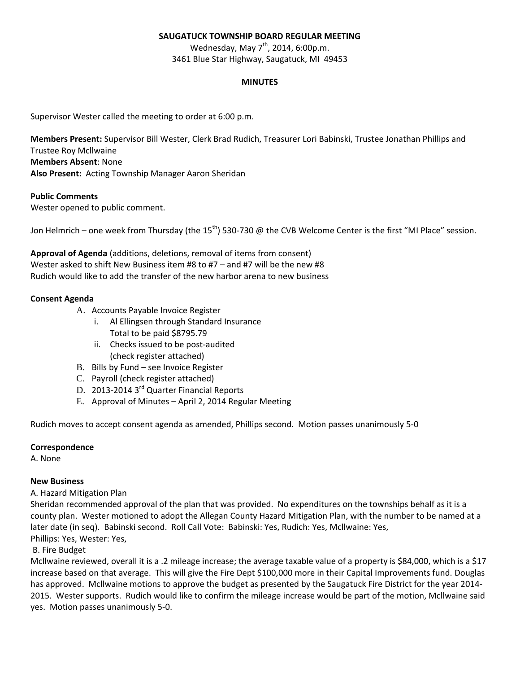# **SAUGATUCK TOWNSHIP BOARD REGULAR MEETING**

Wednesday, May  $7<sup>th</sup>$ , 2014, 6:00p.m. 3461 Blue Star Highway, Saugatuck, MI 49453

### **MINUTES**

Supervisor Wester called the meeting to order at 6:00 p.m.

**Members Present:** Supervisor Bill Wester, Clerk Brad Rudich, Treasurer Lori Babinski, Trustee Jonathan Phillips and Trustee Roy Mcllwaine **Members Absent**: None **Also Present:** Acting Township Manager Aaron Sheridan

# **Public Comments**

Wester opened to public comment.

Jon Helmrich – one week from Thursday (the 15<sup>th</sup>) 530-730 @ the CVB Welcome Center is the first "MI Place" session.

**Approval of Agenda** (additions, deletions, removal of items from consent) Wester asked to shift New Business item #8 to #7 – and #7 will be the new #8 Rudich would like to add the transfer of the new harbor arena to new business

# **Consent Agenda**

- A. Accounts Payable Invoice Register
	- i. Al Ellingsen through Standard Insurance
	- Total to be paid \$8795.79
	- ii. Checks issued to be post-audited (check register attached)
- B. Bills by Fund see Invoice Register
- C. Payroll (check register attached)
- D. 2013-2014 3<sup>rd</sup> Quarter Financial Reports
- E. Approval of Minutes April 2, 2014 Regular Meeting

Rudich moves to accept consent agenda as amended, Phillips second. Motion passes unanimously 5-0

# **Correspondence**

A. None

# **New Business**

# A. Hazard Mitigation Plan

Sheridan recommended approval of the plan that was provided. No expenditures on the townships behalf as it is a county plan. Wester motioned to adopt the Allegan County Hazard Mitigation Plan, with the number to be named at a later date (in seq). Babinski second. Roll Call Vote: Babinski: Yes, Rudich: Yes, Mcllwaine: Yes, Phillips: Yes, Wester: Yes,

# B. Fire Budget

Mcllwaine reviewed, overall it is a .2 mileage increase; the average taxable value of a property is \$84,000, which is a \$17 increase based on that average. This will give the Fire Dept \$100,000 more in their Capital Improvements fund. Douglas has approved. Mcllwaine motions to approve the budget as presented by the Saugatuck Fire District for the year 2014- 2015. Wester supports. Rudich would like to confirm the mileage increase would be part of the motion, Mcllwaine said yes. Motion passes unanimously 5-0.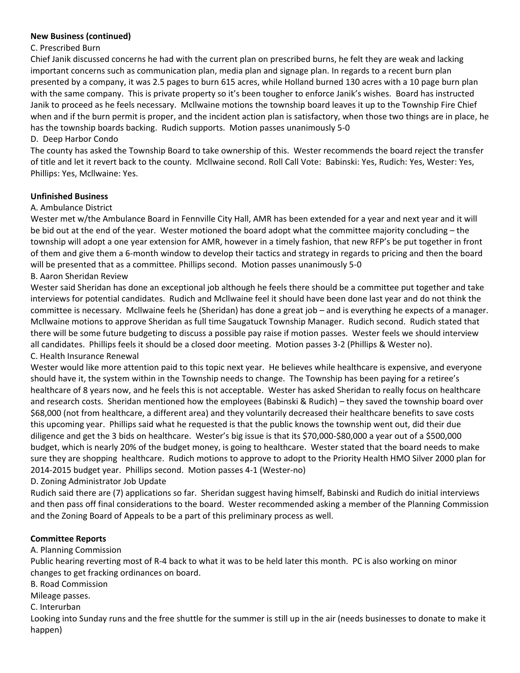# **New Business (continued)**

# C. Prescribed Burn

Chief Janik discussed concerns he had with the current plan on prescribed burns, he felt they are weak and lacking important concerns such as communication plan, media plan and signage plan. In regards to a recent burn plan presented by a company, it was 2.5 pages to burn 615 acres, while Holland burned 130 acres with a 10 page burn plan with the same company. This is private property so it's been tougher to enforce Janik's wishes. Board has instructed Janik to proceed as he feels necessary. Mcllwaine motions the township board leaves it up to the Township Fire Chief when and if the burn permit is proper, and the incident action plan is satisfactory, when those two things are in place, he has the township boards backing. Rudich supports. Motion passes unanimously 5-0

# D. Deep Harbor Condo

The county has asked the Township Board to take ownership of this. Wester recommends the board reject the transfer of title and let it revert back to the county. Mcllwaine second. Roll Call Vote: Babinski: Yes, Rudich: Yes, Wester: Yes, Phillips: Yes, Mcllwaine: Yes.

#### **Unfinished Business**

#### A. Ambulance District

Wester met w/the Ambulance Board in Fennville City Hall, AMR has been extended for a year and next year and it will be bid out at the end of the year. Wester motioned the board adopt what the committee majority concluding – the township will adopt a one year extension for AMR, however in a timely fashion, that new RFP's be put together in front of them and give them a 6-month window to develop their tactics and strategy in regards to pricing and then the board will be presented that as a committee. Phillips second. Motion passes unanimously 5-0

# B. Aaron Sheridan Review

Wester said Sheridan has done an exceptional job although he feels there should be a committee put together and take interviews for potential candidates. Rudich and Mcllwaine feel it should have been done last year and do not think the committee is necessary. Mcllwaine feels he (Sheridan) has done a great job – and is everything he expects of a manager. Mcllwaine motions to approve Sheridan as full time Saugatuck Township Manager. Rudich second. Rudich stated that there will be some future budgeting to discuss a possible pay raise if motion passes. Wester feels we should interview all candidates. Phillips feels it should be a closed door meeting. Motion passes 3-2 (Phillips & Wester no). C. Health Insurance Renewal

Wester would like more attention paid to this topic next year. He believes while healthcare is expensive, and everyone should have it, the system within in the Township needs to change. The Township has been paying for a retiree's healthcare of 8 years now, and he feels this is not acceptable. Wester has asked Sheridan to really focus on healthcare and research costs. Sheridan mentioned how the employees (Babinski & Rudich) – they saved the township board over \$68,000 (not from healthcare, a different area) and they voluntarily decreased their healthcare benefits to save costs this upcoming year. Phillips said what he requested is that the public knows the township went out, did their due diligence and get the 3 bids on healthcare. Wester's big issue is that its \$70,000-\$80,000 a year out of a \$500,000 budget, which is nearly 20% of the budget money, is going to healthcare. Wester stated that the board needs to make sure they are shopping healthcare. Rudich motions to approve to adopt to the Priority Health HMO Silver 2000 plan for 2014-2015 budget year. Phillips second. Motion passes 4-1 (Wester-no)

# D. Zoning Administrator Job Update

Rudich said there are (7) applications so far. Sheridan suggest having himself, Babinski and Rudich do initial interviews and then pass off final considerations to the board. Wester recommended asking a member of the Planning Commission and the Zoning Board of Appeals to be a part of this preliminary process as well.

# **Committee Reports**

# A. Planning Commission

Public hearing reverting most of R-4 back to what it was to be held later this month. PC is also working on minor changes to get fracking ordinances on board.

B. Road Commission

Mileage passes.

C. Interurban

Looking into Sunday runs and the free shuttle for the summer is still up in the air (needs businesses to donate to make it happen)